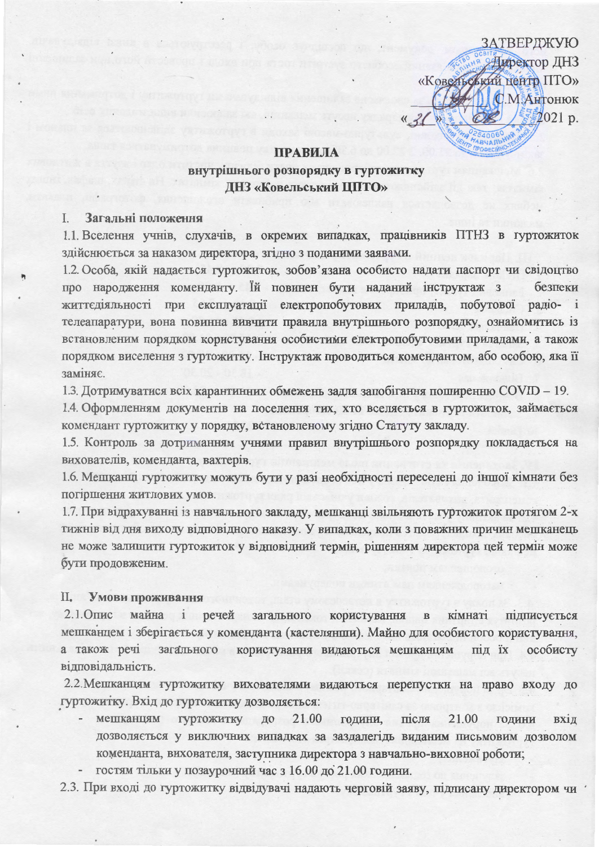ЗАТВЕРДЖУЮ **ЭДиректор ДНЗ** «Ковельський центр ГІТО» С.М.Антонюк 2021 p.

### ПРАВИЛА

# внутрішнього розпорядку в гуртожитку ДНЗ «Ковельський ЦПТО»

#### Загальні положення  $\perp$ .

1.1. Вселення учнів, слухачів, в окремих випадках, працівників ПТНЗ в гуртожиток здійснюється за наказом директора, згідно з поданими заявами.

1.2. Особа, якій надається гуртожиток, зобов'язана особисто надати паспорт чи свідоцтво про народження коменданту. Їй повинен бути наданий інструктаж з безпеки життєдіяльності при експлуатації електропобутових приладів, побутової радіо- і телеапаратури, вона повинна вивчити правила внутрішнього розпорядку, ознайомитись із встановленим порядком користування особистими електропобутовими приладами, а також порядком виселення з гуртожитку. Інструктаж проводиться комендантом, або особою, яка її заміняє.

1.3. Дотримуватися всіх карантинних обмежень задля запобігання поширенню COVID - 19.

1.4. Оформленням документів на поселення тих, хто вселяється в гуртожиток, займається комендант гуртожитку у порядку, встановленому згідно Статуту закладу.

1.5. Контроль за дотриманням учнями правил внутрішнього розпорядку покладається на вихователів, коменданта, вахтерів.

1.6. Мешканці гуртожитку можуть бути у разі необхідності переселені до іншої кімнати без погіршення житлових умов.

1.7. При відрахуванні із навчального закладу, мешканці звільняють гуртожиток протягом 2-х тижнів від дня виходу відповідного наказу. У випадках, коли з поважних причин мешканець не може залишити гуртожиток у відповідний термін, рішенням директора цей термін може бути продовженим.

#### II. Умови проживання

 $2.1.0$ пис майна і речей загального користування  $\, {\bf B}$ кімнаті підписується мешканцем і зберігається у коменданта (кастелянши). Майно для особистого користування, а також речі загального користування видаються мешканцям під їх особисту відповідальність

2.2. Мешканцям гуртожитку вихователями видаються перепустки на право входу до гуртожитку. Вхід до гуртожитку дозволяється:

- 21.00 мешканцям гуртожитку до 21.00 години, після ГОДИНИ **ВХ1Д** дозволяється у виключних випадках за заздалегідь виданим письмовим дозволом коменданта, вихователя, заступника директора з навчально-виховної роботи;
- гостям тільки у позаурочний час з 16.00 до 21.00 години.

2.3. При вході до гуртожитку відвідувачі надають черговій заяву, підписану директором чи